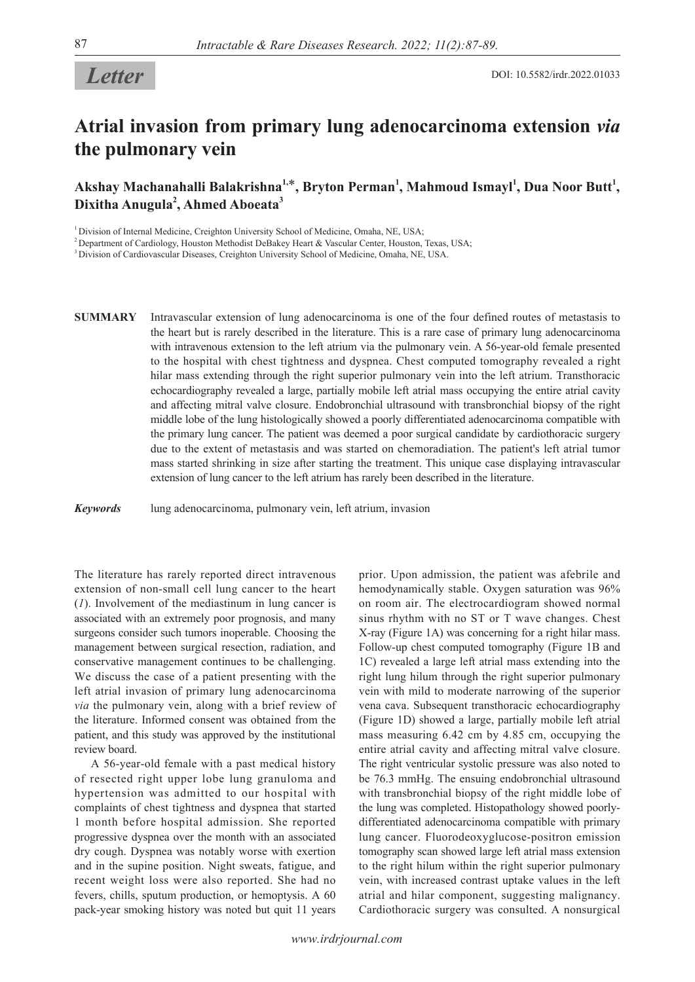# *Letter*

## **Atrial invasion from primary lung adenocarcinoma extension** *via* **the pulmonary vein**

### **Akshay Machanahalli Balakrishna1,**\***, Bryton Perman<sup>1</sup> , Mahmoud Ismayl<sup>1</sup> , Dua Noor Butt<sup>1</sup> , Dixitha Anugula<sup>2</sup> , Ahmed Aboeata<sup>3</sup>**

<sup>1</sup> Division of Internal Medicine, Creighton University School of Medicine, Omaha, NE, USA;

<sup>2</sup> Department of Cardiology, Houston Methodist DeBakey Heart & Vascular Center, Houston, Texas, USA;

3 Division of Cardiovascular Diseases, Creighton University School of Medicine, Omaha, NE, USA.

**SUMMARY** Intravascular extension of lung adenocarcinoma is one of the four defined routes of metastasis to the heart but is rarely described in the literature. This is a rare case of primary lung adenocarcinoma with intravenous extension to the left atrium via the pulmonary vein. A 56-year-old female presented to the hospital with chest tightness and dyspnea. Chest computed tomography revealed a right hilar mass extending through the right superior pulmonary vein into the left atrium. Transthoracic echocardiography revealed a large, partially mobile left atrial mass occupying the entire atrial cavity and affecting mitral valve closure. Endobronchial ultrasound with transbronchial biopsy of the right middle lobe of the lung histologically showed a poorly differentiated adenocarcinoma compatible with the primary lung cancer. The patient was deemed a poor surgical candidate by cardiothoracic surgery due to the extent of metastasis and was started on chemoradiation. The patient's left atrial tumor mass started shrinking in size after starting the treatment. This unique case displaying intravascular extension of lung cancer to the left atrium has rarely been described in the literature.

*Keywords* lung adenocarcinoma, pulmonary vein, left atrium, invasion

The literature has rarely reported direct intravenous extension of non-small cell lung cancer to the heart (*1*). Involvement of the mediastinum in lung cancer is associated with an extremely poor prognosis, and many surgeons consider such tumors inoperable. Choosing the management between surgical resection, radiation, and conservative management continues to be challenging. We discuss the case of a patient presenting with the left atrial invasion of primary lung adenocarcinoma *via* the pulmonary vein, along with a brief review of the literature. Informed consent was obtained from the patient, and this study was approved by the institutional review board.

A 56-year-old female with a past medical history of resected right upper lobe lung granuloma and hypertension was admitted to our hospital with complaints of chest tightness and dyspnea that started 1 month before hospital admission. She reported progressive dyspnea over the month with an associated dry cough. Dyspnea was notably worse with exertion and in the supine position. Night sweats, fatigue, and recent weight loss were also reported. She had no fevers, chills, sputum production, or hemoptysis. A 60 pack-year smoking history was noted but quit 11 years

prior. Upon admission, the patient was afebrile and hemodynamically stable. Oxygen saturation was 96% on room air. The electrocardiogram showed normal sinus rhythm with no ST or T wave changes. Chest X-ray (Figure 1A) was concerning for a right hilar mass. Follow-up chest computed tomography (Figure 1B and 1C) revealed a large left atrial mass extending into the right lung hilum through the right superior pulmonary vein with mild to moderate narrowing of the superior vena cava. Subsequent transthoracic echocardiography (Figure 1D) showed a large, partially mobile left atrial mass measuring 6.42 cm by 4.85 cm, occupying the entire atrial cavity and affecting mitral valve closure. The right ventricular systolic pressure was also noted to be 76.3 mmHg. The ensuing endobronchial ultrasound with transbronchial biopsy of the right middle lobe of the lung was completed. Histopathology showed poorlydifferentiated adenocarcinoma compatible with primary lung cancer. Fluorodeoxyglucose-positron emission tomography scan showed large left atrial mass extension to the right hilum within the right superior pulmonary vein, with increased contrast uptake values in the left atrial and hilar component, suggesting malignancy. Cardiothoracic surgery was consulted. A nonsurgical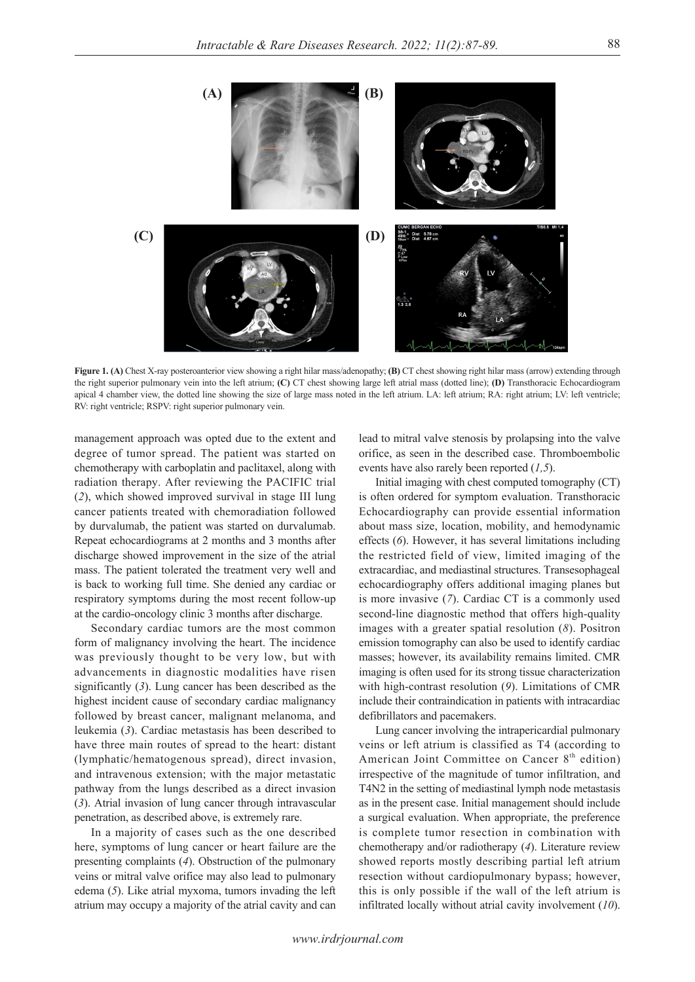

**Figure 1. (A)** Chest X-ray posteroanterior view showing a right hilar mass/adenopathy; **(B)** CT chest showing right hilar mass (arrow) extending through the right superior pulmonary vein into the left atrium; **(C)** CT chest showing large left atrial mass (dotted line); **(D)** Transthoracic Echocardiogram apical 4 chamber view, the dotted line showing the size of large mass noted in the left atrium. LA: left atrium; RA: right atrium; LV: left ventricle; RV: right ventricle; RSPV: right superior pulmonary vein.

management approach was opted due to the extent and degree of tumor spread. The patient was started on chemotherapy with carboplatin and paclitaxel, along with radiation therapy. After reviewing the PACIFIC trial (*2*), which showed improved survival in stage III lung cancer patients treated with chemoradiation followed by durvalumab, the patient was started on durvalumab. Repeat echocardiograms at 2 months and 3 months after discharge showed improvement in the size of the atrial mass. The patient tolerated the treatment very well and is back to working full time. She denied any cardiac or respiratory symptoms during the most recent follow-up at the cardio-oncology clinic 3 months after discharge.

Secondary cardiac tumors are the most common form of malignancy involving the heart. The incidence was previously thought to be very low, but with advancements in diagnostic modalities have risen significantly (*3*). Lung cancer has been described as the highest incident cause of secondary cardiac malignancy followed by breast cancer, malignant melanoma, and leukemia (*3*). Cardiac metastasis has been described to have three main routes of spread to the heart: distant (lymphatic/hematogenous spread), direct invasion, and intravenous extension; with the major metastatic pathway from the lungs described as a direct invasion (*3*). Atrial invasion of lung cancer through intravascular penetration, as described above, is extremely rare.

In a majority of cases such as the one described here, symptoms of lung cancer or heart failure are the presenting complaints (*4*). Obstruction of the pulmonary veins or mitral valve orifice may also lead to pulmonary edema (*5*). Like atrial myxoma, tumors invading the left atrium may occupy a majority of the atrial cavity and can

lead to mitral valve stenosis by prolapsing into the valve orifice, as seen in the described case. Thromboembolic events have also rarely been reported (*1,5*).

Initial imaging with chest computed tomography (CT) is often ordered for symptom evaluation. Transthoracic Echocardiography can provide essential information about mass size, location, mobility, and hemodynamic effects (*6*). However, it has several limitations including the restricted field of view, limited imaging of the extracardiac, and mediastinal structures. Transesophageal echocardiography offers additional imaging planes but is more invasive (*7*). Cardiac CT is a commonly used second-line diagnostic method that offers high-quality images with a greater spatial resolution (*8*). Positron emission tomography can also be used to identify cardiac masses; however, its availability remains limited. CMR imaging is often used for its strong tissue characterization with high-contrast resolution (9). Limitations of CMR include their contraindication in patients with intracardiac defibrillators and pacemakers.

Lung cancer involving the intrapericardial pulmonary veins or left atrium is classified as T4 (according to American Joint Committee on Cancer  $8<sup>th</sup>$  edition) irrespective of the magnitude of tumor infiltration, and T4N2 in the setting of mediastinal lymph node metastasis as in the present case. Initial management should include a surgical evaluation. When appropriate, the preference is complete tumor resection in combination with chemotherapy and/or radiotherapy (*4*). Literature review showed reports mostly describing partial left atrium resection without cardiopulmonary bypass; however, this is only possible if the wall of the left atrium is infiltrated locally without atrial cavity involvement (*10*).